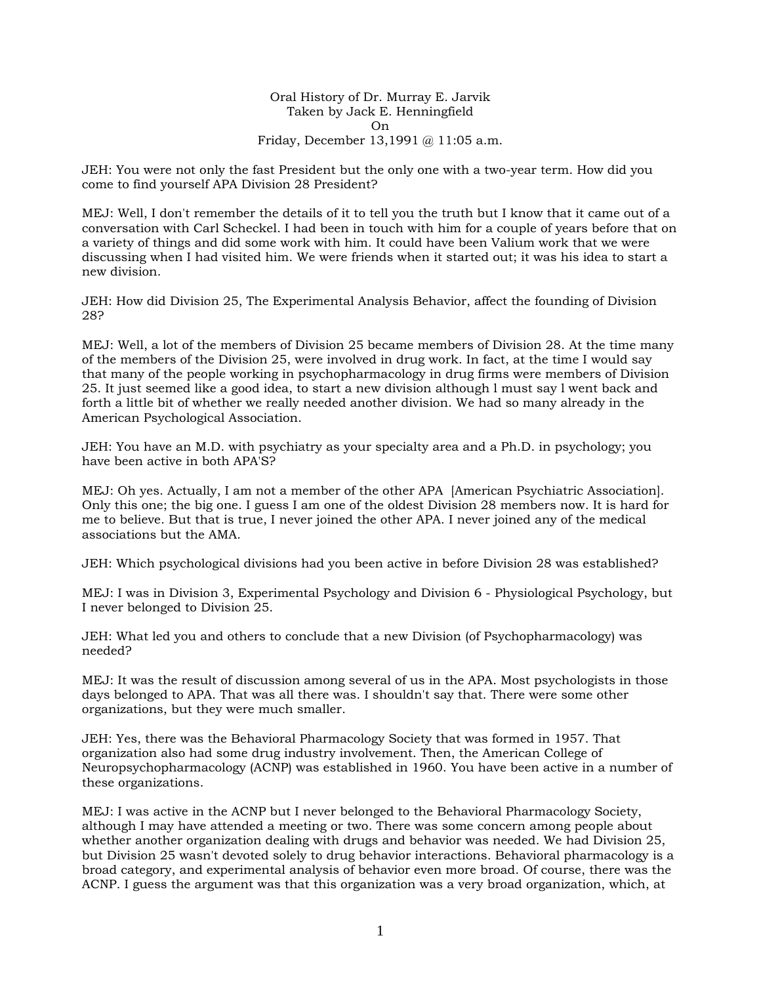Oral History of Dr. Murray E. Jarvik Taken by Jack E. Henningfield On Friday, December 13,1991 @ 11:05 a.m.

JEH: You were not only the fast President but the only one with a two-year term. How did you come to find yourself APA Division 28 President?

MEJ: Well, I don't remember the details of it to tell you the truth but I know that it came out of a conversation with Carl Scheckel. I had been in touch with him for a couple of years before that on a variety of things and did some work with him. It could have been Valium work that we were discussing when I had visited him. We were friends when it started out; it was his idea to start a new division.

JEH: How did Division 25, The Experimental Analysis Behavior, affect the founding of Division 28?

MEJ: Well, a lot of the members of Division 25 became members of Division 28. At the time many of the members of the Division 25, were involved in drug work. In fact, at the time I would say that many of the people working in psychopharmacology in drug firms were members of Division 25. It just seemed like a good idea, to start a new division although l must say l went back and forth a little bit of whether we really needed another division. We had so many already in the American Psychological Association.

JEH: You have an M.D. with psychiatry as your specialty area and a Ph.D. in psychology; you have been active in both APA'S?

MEJ: Oh yes. Actually, I am not a member of the other APA [American Psychiatric Association]. Only this one; the big one. I guess I am one of the oldest Division 28 members now. It is hard for me to believe. But that is true, I never joined the other APA. I never joined any of the medical associations but the AMA.

JEH: Which psychological divisions had you been active in before Division 28 was established?

MEJ: I was in Division 3, Experimental Psychology and Division 6 - Physiological Psychology, but I never belonged to Division 25.

JEH: What led you and others to conclude that a new Division (of Psychopharmacology) was needed?

MEJ: It was the result of discussion among several of us in the APA. Most psychologists in those days belonged to APA. That was all there was. I shouldn't say that. There were some other organizations, but they were much smaller.

JEH: Yes, there was the Behavioral Pharmacology Society that was formed in 1957. That organization also had some drug industry involvement. Then, the American College of Neuropsychopharmacology (ACNP) was established in 1960. You have been active in a number of these organizations.

MEJ: I was active in the ACNP but I never belonged to the Behavioral Pharmacology Society, although I may have attended a meeting or two. There was some concern among people about whether another organization dealing with drugs and behavior was needed. We had Division 25, but Division 25 wasn't devoted solely to drug behavior interactions. Behavioral pharmacology is a broad category, and experimental analysis of behavior even more broad. Of course, there was the ACNP. I guess the argument was that this organization was a very broad organization, which, at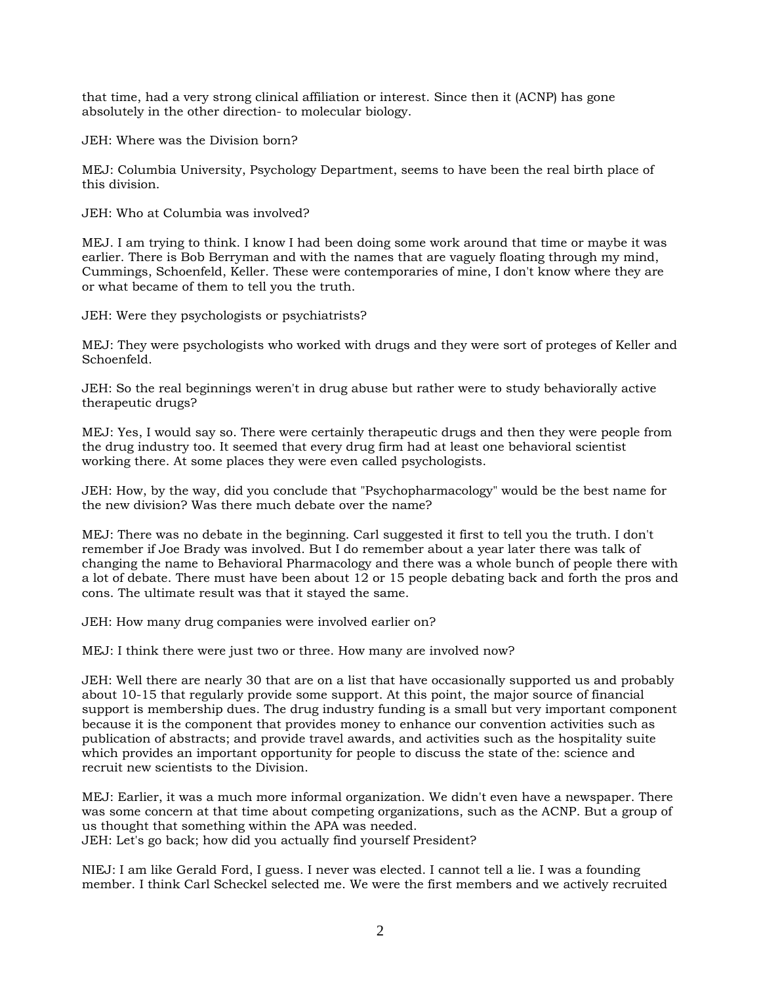that time, had a very strong clinical affiliation or interest. Since then it (ACNP) has gone absolutely in the other direction- to molecular biology.

JEH: Where was the Division born?

MEJ: Columbia University, Psychology Department, seems to have been the real birth place of this division.

JEH: Who at Columbia was involved?

MEJ. I am trying to think. I know I had been doing some work around that time or maybe it was earlier. There is Bob Berryman and with the names that are vaguely floating through my mind, Cummings, Schoenfeld, Keller. These were contemporaries of mine, I don't know where they are or what became of them to tell you the truth.

JEH: Were they psychologists or psychiatrists?

MEJ: They were psychologists who worked with drugs and they were sort of proteges of Keller and Schoenfeld.

JEH: So the real beginnings weren't in drug abuse but rather were to study behaviorally active therapeutic drugs?

MEJ: Yes, I would say so. There were certainly therapeutic drugs and then they were people from the drug industry too. It seemed that every drug firm had at least one behavioral scientist working there. At some places they were even called psychologists.

JEH: How, by the way, did you conclude that "Psychopharmacology" would be the best name for the new division? Was there much debate over the name?

MEJ: There was no debate in the beginning. Carl suggested it first to tell you the truth. I don't remember if Joe Brady was involved. But I do remember about a year later there was talk of changing the name to Behavioral Pharmacology and there was a whole bunch of people there with a lot of debate. There must have been about 12 or 15 people debating back and forth the pros and cons. The ultimate result was that it stayed the same.

JEH: How many drug companies were involved earlier on?

MEJ: I think there were just two or three. How many are involved now?

JEH: Well there are nearly 30 that are on a list that have occasionally supported us and probably about 10-15 that regularly provide some support. At this point, the major source of financial support is membership dues. The drug industry funding is a small but very important component because it is the component that provides money to enhance our convention activities such as publication of abstracts; and provide travel awards, and activities such as the hospitality suite which provides an important opportunity for people to discuss the state of the: science and recruit new scientists to the Division.

MEJ: Earlier, it was a much more informal organization. We didn't even have a newspaper. There was some concern at that time about competing organizations, such as the ACNP. But a group of us thought that something within the APA was needed.

JEH: Let's go back; how did you actually find yourself President?

NIEJ: I am like Gerald Ford, I guess. I never was elected. I cannot tell a lie. I was a founding member. I think Carl Scheckel selected me. We were the first members and we actively recruited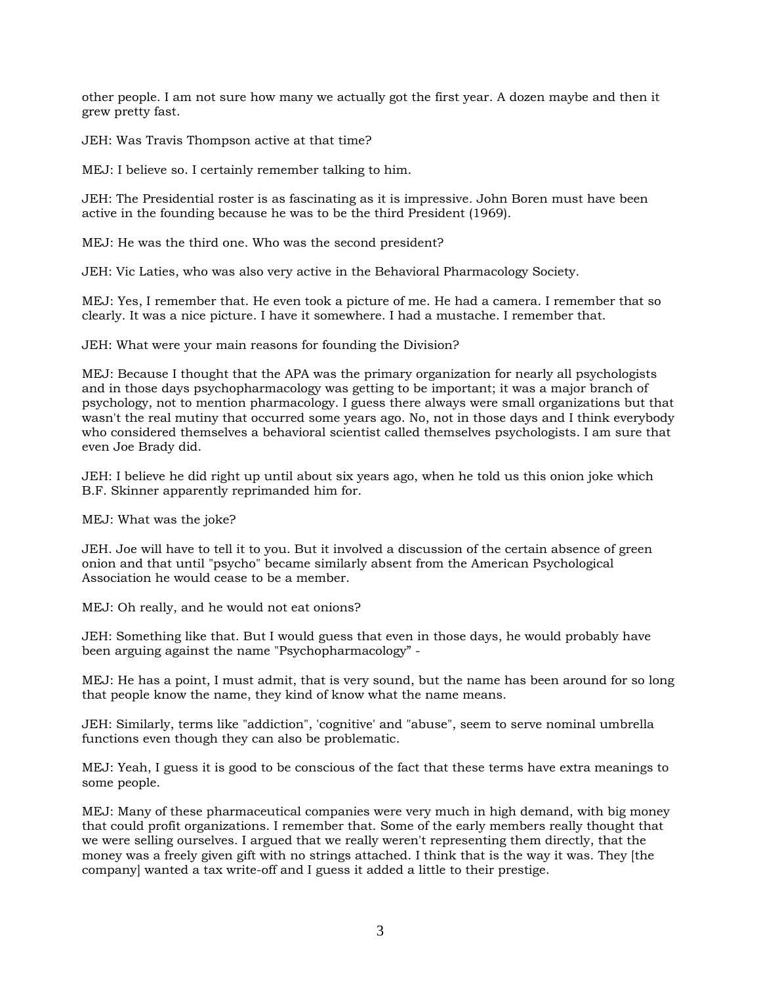other people. I am not sure how many we actually got the first year. A dozen maybe and then it grew pretty fast.

JEH: Was Travis Thompson active at that time?

MEJ: I believe so. I certainly remember talking to him.

JEH: The Presidential roster is as fascinating as it is impressive. John Boren must have been active in the founding because he was to be the third President (1969).

MEJ: He was the third one. Who was the second president?

JEH: Vic Laties, who was also very active in the Behavioral Pharmacology Society.

MEJ: Yes, I remember that. He even took a picture of me. He had a camera. I remember that so clearly. It was a nice picture. I have it somewhere. I had a mustache. I remember that.

JEH: What were your main reasons for founding the Division?

MEJ: Because I thought that the APA was the primary organization for nearly all psychologists and in those days psychopharmacology was getting to be important; it was a major branch of psychology, not to mention pharmacology. I guess there always were small organizations but that wasn't the real mutiny that occurred some years ago. No, not in those days and I think everybody who considered themselves a behavioral scientist called themselves psychologists. I am sure that even Joe Brady did.

JEH: I believe he did right up until about six years ago, when he told us this onion joke which B.F. Skinner apparently reprimanded him for.

MEJ: What was the joke?

JEH. Joe will have to tell it to you. But it involved a discussion of the certain absence of green onion and that until "psycho" became similarly absent from the American Psychological Association he would cease to be a member.

MEJ: Oh really, and he would not eat onions?

JEH: Something like that. But I would guess that even in those days, he would probably have been arguing against the name "Psychopharmacology" -

MEJ: He has a point, I must admit, that is very sound, but the name has been around for so long that people know the name, they kind of know what the name means.

JEH: Similarly, terms like "addiction", 'cognitive' and "abuse", seem to serve nominal umbrella functions even though they can also be problematic.

MEJ: Yeah, I guess it is good to be conscious of the fact that these terms have extra meanings to some people.

MEJ: Many of these pharmaceutical companies were very much in high demand, with big money that could profit organizations. I remember that. Some of the early members really thought that we were selling ourselves. I argued that we really weren't representing them directly, that the money was a freely given gift with no strings attached. I think that is the way it was. They [the company] wanted a tax write-off and I guess it added a little to their prestige.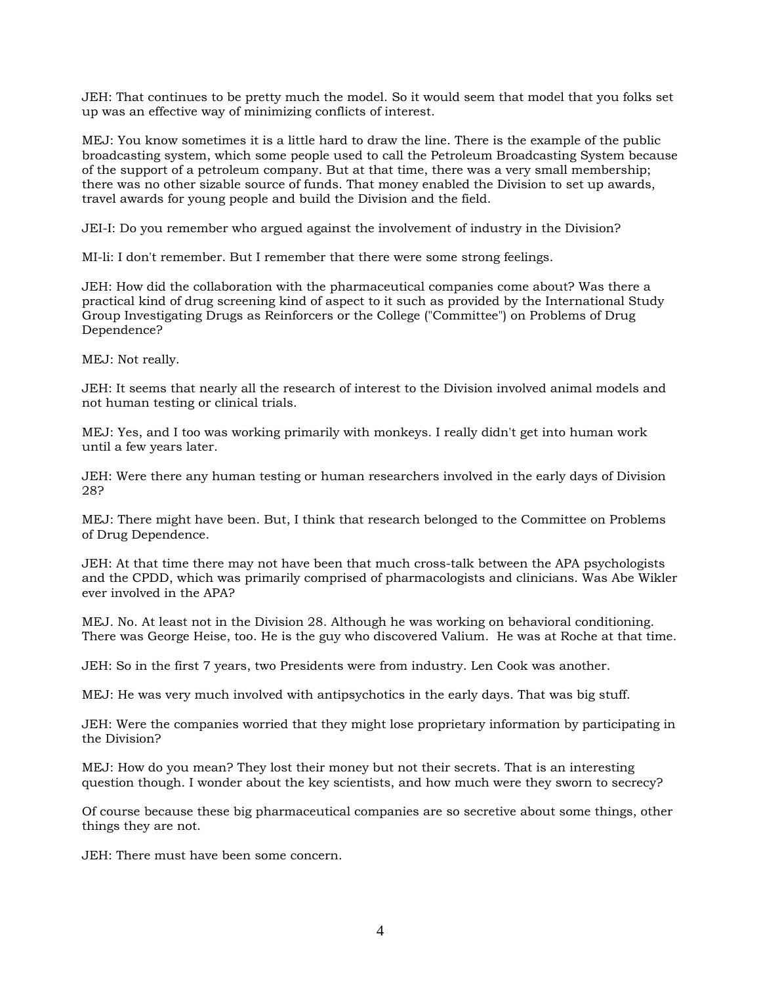JEH: That continues to be pretty much the model. So it would seem that model that you folks set up was an effective way of minimizing conflicts of interest.

MEJ: You know sometimes it is a little hard to draw the line. There is the example of the public broadcasting system, which some people used to call the Petroleum Broadcasting System because of the support of a petroleum company. But at that time, there was a very small membership; there was no other sizable source of funds. That money enabled the Division to set up awards, travel awards for young people and build the Division and the field.

JEI-I: Do you remember who argued against the involvement of industry in the Division?

MI-li: I don't remember. But I remember that there were some strong feelings.

JEH: How did the collaboration with the pharmaceutical companies come about? Was there a practical kind of drug screening kind of aspect to it such as provided by the International Study Group Investigating Drugs as Reinforcers or the College ("Committee") on Problems of Drug Dependence?

MEJ: Not really.

JEH: It seems that nearly all the research of interest to the Division involved animal models and not human testing or clinical trials.

MEJ: Yes, and I too was working primarily with monkeys. I really didn't get into human work until a few years later.

JEH: Were there any human testing or human researchers involved in the early days of Division 28?

MEJ: There might have been. But, I think that research belonged to the Committee on Problems of Drug Dependence.

JEH: At that time there may not have been that much cross-talk between the APA psychologists and the CPDD, which was primarily comprised of pharmacologists and clinicians. Was Abe Wikler ever involved in the APA?

MEJ. No. At least not in the Division 28. Although he was working on behavioral conditioning. There was George Heise, too. He is the guy who discovered Valium. He was at Roche at that time.

JEH: So in the first 7 years, two Presidents were from industry. Len Cook was another.

MEJ: He was very much involved with antipsychotics in the early days. That was big stuff.

JEH: Were the companies worried that they might lose proprietary information by participating in the Division?

MEJ: How do you mean? They lost their money but not their secrets. That is an interesting question though. I wonder about the key scientists, and how much were they sworn to secrecy?

Of course because these big pharmaceutical companies are so secretive about some things, other things they are not.

JEH: There must have been some concern.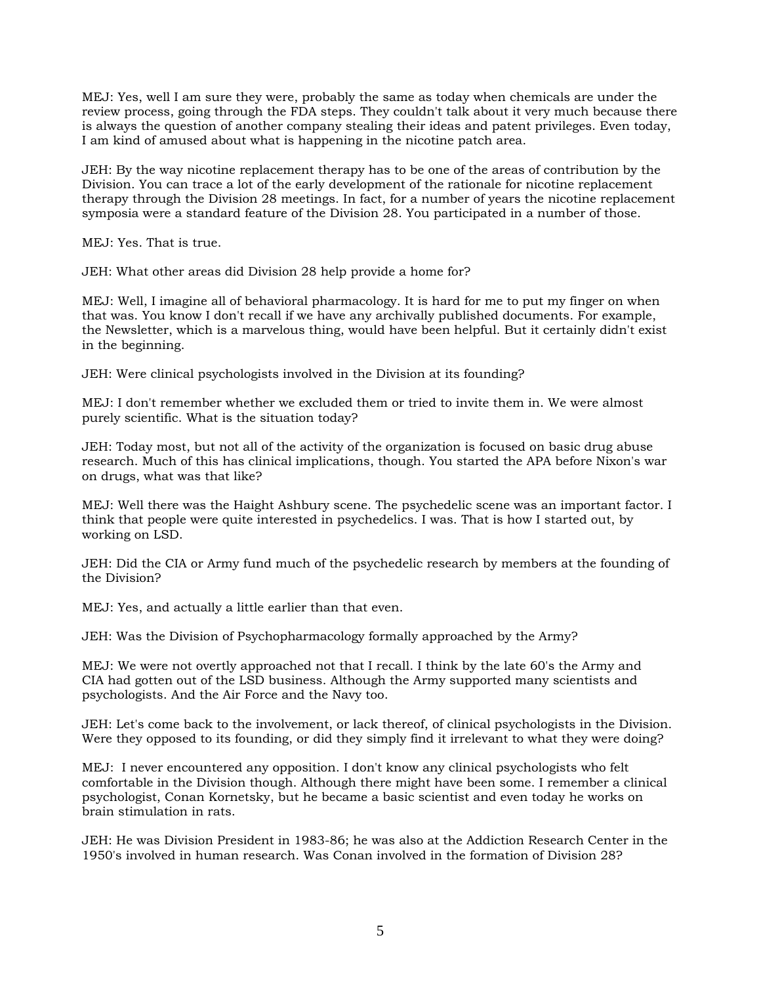MEJ: Yes, well I am sure they were, probably the same as today when chemicals are under the review process, going through the FDA steps. They couldn't talk about it very much because there is always the question of another company stealing their ideas and patent privileges. Even today, I am kind of amused about what is happening in the nicotine patch area.

JEH: By the way nicotine replacement therapy has to be one of the areas of contribution by the Division. You can trace a lot of the early development of the rationale for nicotine replacement therapy through the Division 28 meetings. In fact, for a number of years the nicotine replacement symposia were a standard feature of the Division 28. You participated in a number of those.

MEJ: Yes. That is true.

JEH: What other areas did Division 28 help provide a home for?

MEJ: Well, I imagine all of behavioral pharmacology. It is hard for me to put my finger on when that was. You know I don't recall if we have any archivally published documents. For example, the Newsletter, which is a marvelous thing, would have been helpful. But it certainly didn't exist in the beginning.

JEH: Were clinical psychologists involved in the Division at its founding?

MEJ: I don't remember whether we excluded them or tried to invite them in. We were almost purely scientific. What is the situation today?

JEH: Today most, but not all of the activity of the organization is focused on basic drug abuse research. Much of this has clinical implications, though. You started the APA before Nixon's war on drugs, what was that like?

MEJ: Well there was the Haight Ashbury scene. The psychedelic scene was an important factor. I think that people were quite interested in psychedelics. I was. That is how I started out, by working on LSD.

JEH: Did the CIA or Army fund much of the psychedelic research by members at the founding of the Division?

MEJ: Yes, and actually a little earlier than that even.

JEH: Was the Division of Psychopharmacology formally approached by the Army?

MEJ: We were not overtly approached not that I recall. I think by the late 60's the Army and CIA had gotten out of the LSD business. Although the Army supported many scientists and psychologists. And the Air Force and the Navy too.

JEH: Let's come back to the involvement, or lack thereof, of clinical psychologists in the Division. Were they opposed to its founding, or did they simply find it irrelevant to what they were doing?

MEJ: I never encountered any opposition. I don't know any clinical psychologists who felt comfortable in the Division though. Although there might have been some. I remember a clinical psychologist, Conan Kornetsky, but he became a basic scientist and even today he works on brain stimulation in rats.

JEH: He was Division President in 1983-86; he was also at the Addiction Research Center in the 1950's involved in human research. Was Conan involved in the formation of Division 28?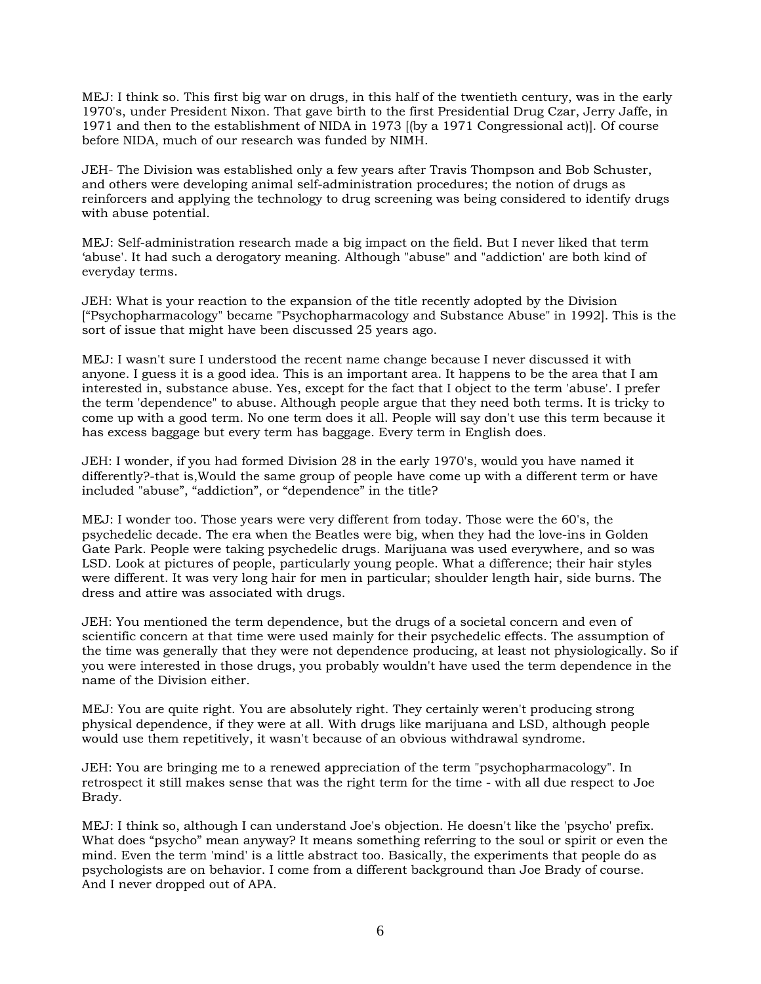MEJ: I think so. This first big war on drugs, in this half of the twentieth century, was in the early 1970's, under President Nixon. That gave birth to the first Presidential Drug Czar, Jerry Jaffe, in 1971 and then to the establishment of NIDA in 1973 [(by a 1971 Congressional act)]. Of course before NIDA, much of our research was funded by NIMH.

JEH- The Division was established only a few years after Travis Thompson and Bob Schuster, and others were developing animal self-administration procedures; the notion of drugs as reinforcers and applying the technology to drug screening was being considered to identify drugs with abuse potential.

MEJ: Self-administration research made a big impact on the field. But I never liked that term 'abuse'. It had such a derogatory meaning. Although "abuse" and "addiction' are both kind of everyday terms.

JEH: What is your reaction to the expansion of the title recently adopted by the Division ["Psychopharmacology" became "Psychopharmacology and Substance Abuse" in 1992]. This is the sort of issue that might have been discussed 25 years ago.

MEJ: I wasn't sure I understood the recent name change because I never discussed it with anyone. I guess it is a good idea. This is an important area. It happens to be the area that I am interested in, substance abuse. Yes, except for the fact that I object to the term 'abuse'. I prefer the term 'dependence" to abuse. Although people argue that they need both terms. It is tricky to come up with a good term. No one term does it all. People will say don't use this term because it has excess baggage but every term has baggage. Every term in English does.

JEH: I wonder, if you had formed Division 28 in the early 1970's, would you have named it differently?-that is,Would the same group of people have come up with a different term or have included "abuse", "addiction", or "dependence" in the title?

MEJ: I wonder too. Those years were very different from today. Those were the 60's, the psychedelic decade. The era when the Beatles were big, when they had the love-ins in Golden Gate Park. People were taking psychedelic drugs. Marijuana was used everywhere, and so was LSD. Look at pictures of people, particularly young people. What a difference; their hair styles were different. It was very long hair for men in particular; shoulder length hair, side burns. The dress and attire was associated with drugs.

JEH: You mentioned the term dependence, but the drugs of a societal concern and even of scientific concern at that time were used mainly for their psychedelic effects. The assumption of the time was generally that they were not dependence producing, at least not physiologically. So if you were interested in those drugs, you probably wouldn't have used the term dependence in the name of the Division either.

MEJ: You are quite right. You are absolutely right. They certainly weren't producing strong physical dependence, if they were at all. With drugs like marijuana and LSD, although people would use them repetitively, it wasn't because of an obvious withdrawal syndrome.

JEH: You are bringing me to a renewed appreciation of the term "psychopharmacology". In retrospect it still makes sense that was the right term for the time - with all due respect to Joe Brady.

MEJ: I think so, although I can understand Joe's objection. He doesn't like the 'psycho' prefix. What does "psycho" mean anyway? It means something referring to the soul or spirit or even the mind. Even the term 'mind' is a little abstract too. Basically, the experiments that people do as psychologists are on behavior. I come from a different background than Joe Brady of course. And I never dropped out of APA.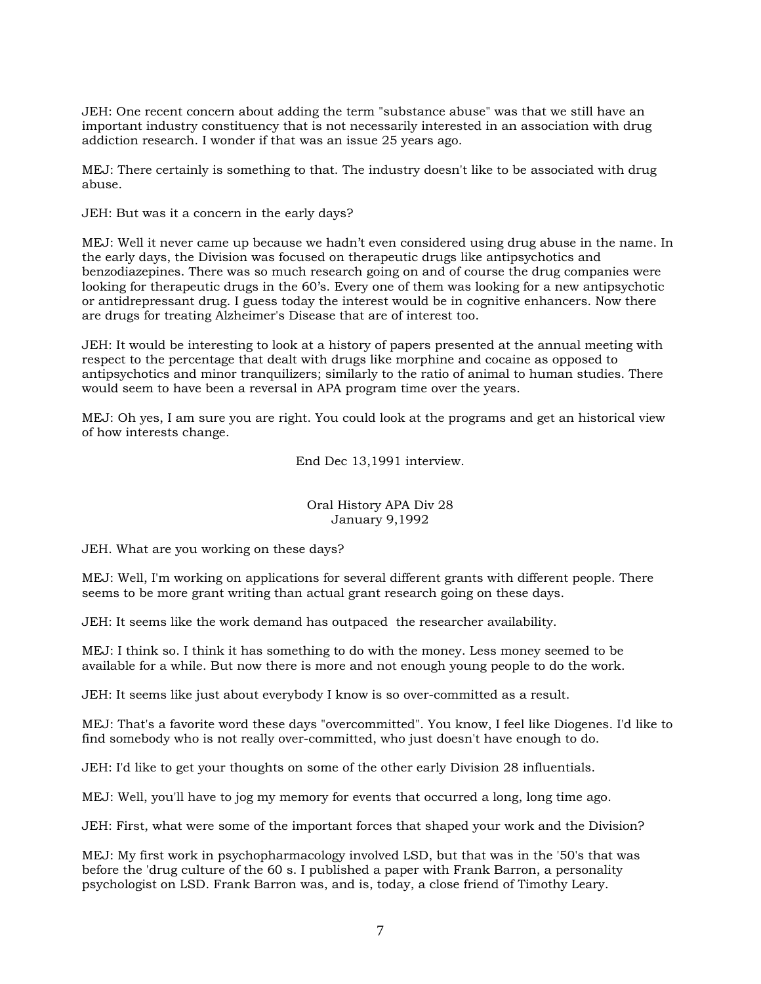JEH: One recent concern about adding the term "substance abuse" was that we still have an important industry constituency that is not necessarily interested in an association with drug addiction research. I wonder if that was an issue 25 years ago.

MEJ: There certainly is something to that. The industry doesn't like to be associated with drug abuse.

JEH: But was it a concern in the early days?

MEJ: Well it never came up because we hadn't even considered using drug abuse in the name. In the early days, the Division was focused on therapeutic drugs like antipsychotics and benzodiazepines. There was so much research going on and of course the drug companies were looking for therapeutic drugs in the 60's. Every one of them was looking for a new antipsychotic or antidrepressant drug. I guess today the interest would be in cognitive enhancers. Now there are drugs for treating Alzheimer's Disease that are of interest too.

JEH: It would be interesting to look at a history of papers presented at the annual meeting with respect to the percentage that dealt with drugs like morphine and cocaine as opposed to antipsychotics and minor tranquilizers; similarly to the ratio of animal to human studies. There would seem to have been a reversal in APA program time over the years.

MEJ: Oh yes, I am sure you are right. You could look at the programs and get an historical view of how interests change.

End Dec 13,1991 interview.

## Oral History APA Div 28 January 9,1992

JEH. What are you working on these days?

MEJ: Well, I'm working on applications for several different grants with different people. There seems to be more grant writing than actual grant research going on these days.

JEH: It seems like the work demand has outpaced the researcher availability.

MEJ: I think so. I think it has something to do with the money. Less money seemed to be available for a while. But now there is more and not enough young people to do the work.

JEH: It seems like just about everybody I know is so over-committed as a result.

MEJ: That's a favorite word these days "overcommitted". You know, I feel like Diogenes. I'd like to find somebody who is not really over-committed, who just doesn't have enough to do.

JEH: I'd like to get your thoughts on some of the other early Division 28 influentials.

MEJ: Well, you'll have to jog my memory for events that occurred a long, long time ago.

JEH: First, what were some of the important forces that shaped your work and the Division?

MEJ: My first work in psychopharmacology involved LSD, but that was in the '50's that was before the 'drug culture of the 60 s. I published a paper with Frank Barron, a personality psychologist on LSD. Frank Barron was, and is, today, a close friend of Timothy Leary.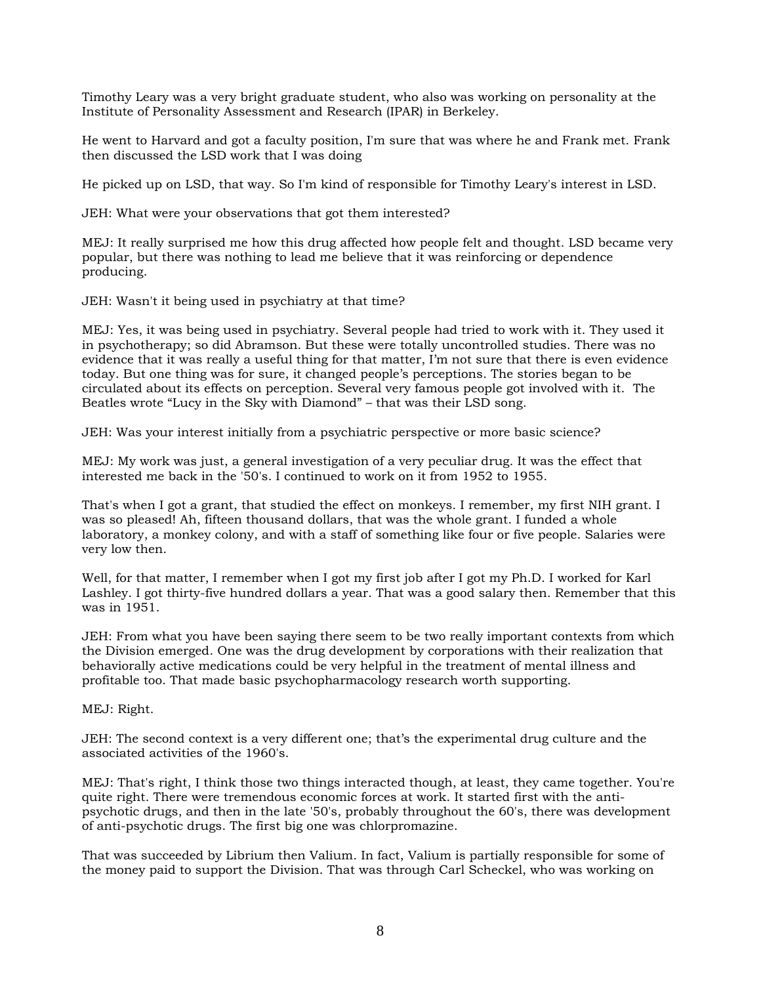Timothy Leary was a very bright graduate student, who also was working on personality at the Institute of Personality Assessment and Research (IPAR) in Berkeley.

He went to Harvard and got a faculty position, I'm sure that was where he and Frank met. Frank then discussed the LSD work that I was doing

He picked up on LSD, that way. So I'm kind of responsible for Timothy Leary's interest in LSD.

JEH: What were your observations that got them interested?

MEJ: It really surprised me how this drug affected how people felt and thought. LSD became very popular, but there was nothing to lead me believe that it was reinforcing or dependence producing.

JEH: Wasn't it being used in psychiatry at that time?

MEJ: Yes, it was being used in psychiatry. Several people had tried to work with it. They used it in psychotherapy; so did Abramson. But these were totally uncontrolled studies. There was no evidence that it was really a useful thing for that matter, I'm not sure that there is even evidence today. But one thing was for sure, it changed people's perceptions. The stories began to be circulated about its effects on perception. Several very famous people got involved with it. The Beatles wrote "Lucy in the Sky with Diamond" – that was their LSD song.

JEH: Was your interest initially from a psychiatric perspective or more basic science?

MEJ: My work was just, a general investigation of a very peculiar drug. It was the effect that interested me back in the '50's. I continued to work on it from 1952 to 1955.

That's when I got a grant, that studied the effect on monkeys. I remember, my first NIH grant. I was so pleased! Ah, fifteen thousand dollars, that was the whole grant. I funded a whole laboratory, a monkey colony, and with a staff of something like four or five people. Salaries were very low then.

Well, for that matter, I remember when I got my first job after I got my Ph.D. I worked for Karl Lashley. I got thirty-five hundred dollars a year. That was a good salary then. Remember that this was in 1951.

JEH: From what you have been saying there seem to be two really important contexts from which the Division emerged. One was the drug development by corporations with their realization that behaviorally active medications could be very helpful in the treatment of mental illness and profitable too. That made basic psychopharmacology research worth supporting.

MEJ: Right.

JEH: The second context is a very different one; that's the experimental drug culture and the associated activities of the 1960's.

MEJ: That's right, I think those two things interacted though, at least, they came together. You're quite right. There were tremendous economic forces at work. It started first with the antipsychotic drugs, and then in the late '50's, probably throughout the 60's, there was development of anti-psychotic drugs. The first big one was chlorpromazine.

That was succeeded by Librium then Valium. In fact, Valium is partially responsible for some of the money paid to support the Division. That was through Carl Scheckel, who was working on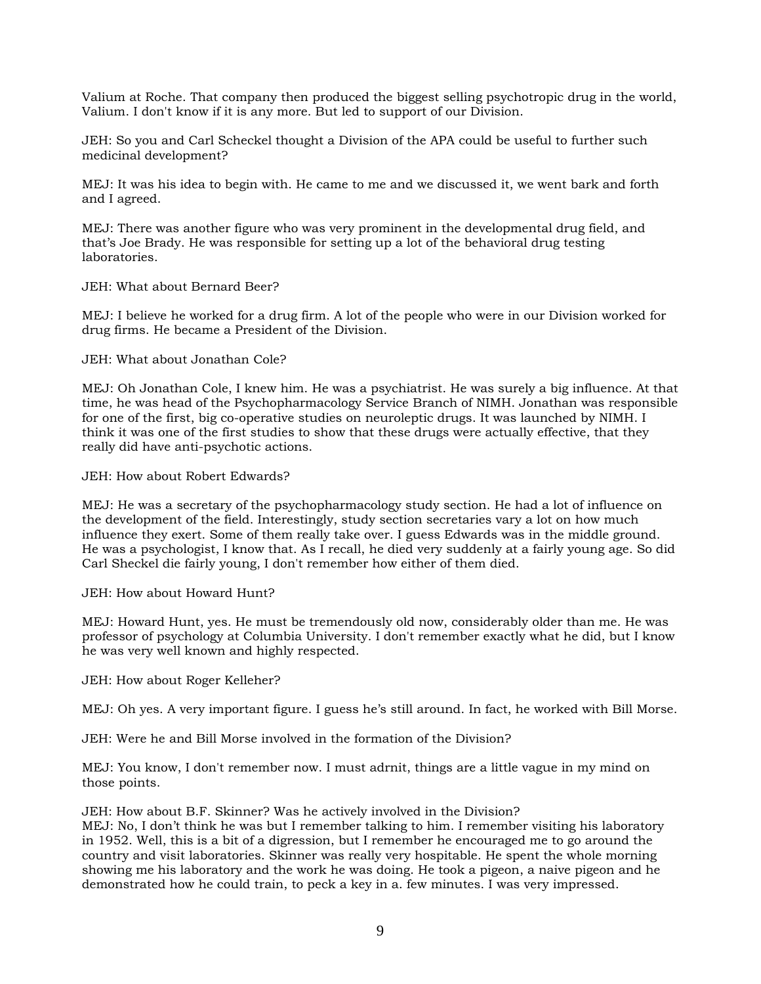Valium at Roche. That company then produced the biggest selling psychotropic drug in the world, Valium. I don't know if it is any more. But led to support of our Division.

JEH: So you and Carl Scheckel thought a Division of the APA could be useful to further such medicinal development?

MEJ: It was his idea to begin with. He came to me and we discussed it, we went bark and forth and I agreed.

MEJ: There was another figure who was very prominent in the developmental drug field, and that's Joe Brady. He was responsible for setting up a lot of the behavioral drug testing laboratories.

JEH: What about Bernard Beer?

MEJ: I believe he worked for a drug firm. A lot of the people who were in our Division worked for drug firms. He became a President of the Division.

JEH: What about Jonathan Cole?

MEJ: Oh Jonathan Cole, I knew him. He was a psychiatrist. He was surely a big influence. At that time, he was head of the Psychopharmacology Service Branch of NIMH. Jonathan was responsible for one of the first, big co-operative studies on neuroleptic drugs. It was launched by NIMH. I think it was one of the first studies to show that these drugs were actually effective, that they really did have anti-psychotic actions.

JEH: How about Robert Edwards?

MEJ: He was a secretary of the psychopharmacology study section. He had a lot of influence on the development of the field. Interestingly, study section secretaries vary a lot on how much influence they exert. Some of them really take over. I guess Edwards was in the middle ground. He was a psychologist, I know that. As I recall, he died very suddenly at a fairly young age. So did Carl Sheckel die fairly young, I don't remember how either of them died.

JEH: How about Howard Hunt?

MEJ: Howard Hunt, yes. He must be tremendously old now, considerably older than me. He was professor of psychology at Columbia University. I don't remember exactly what he did, but I know he was very well known and highly respected.

JEH: How about Roger Kelleher?

MEJ: Oh yes. A very important figure. I guess he's still around. In fact, he worked with Bill Morse.

JEH: Were he and Bill Morse involved in the formation of the Division?

MEJ: You know, I don't remember now. I must adrnit, things are a little vague in my mind on those points.

JEH: How about B.F. Skinner? Was he actively involved in the Division?

MEJ: No, I don't think he was but I remember talking to him. I remember visiting his laboratory in 1952. Well, this is a bit of a digression, but I remember he encouraged me to go around the country and visit laboratories. Skinner was really very hospitable. He spent the whole morning showing me his laboratory and the work he was doing. He took a pigeon, a naive pigeon and he demonstrated how he could train, to peck a key in a. few minutes. I was very impressed.